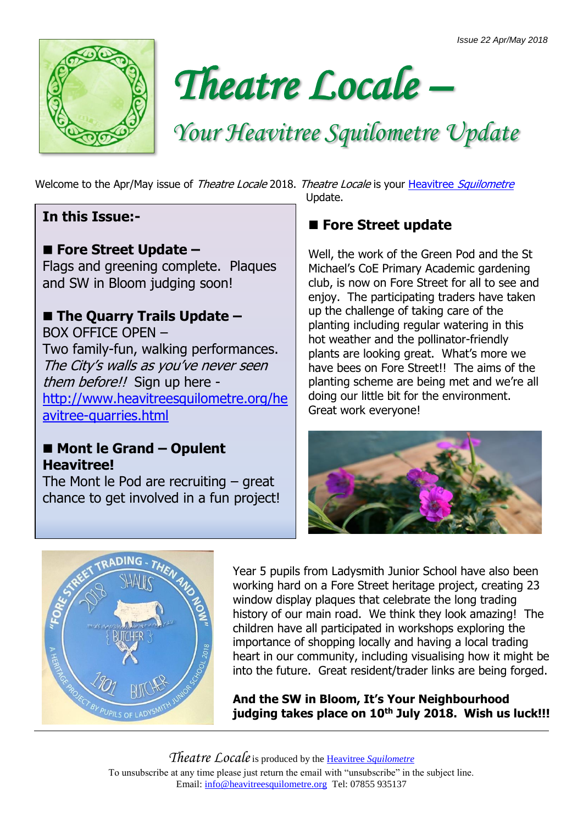



# *Your Heavitree Squilometre Update*

Welcome to the Apr/May issue of Theatre Locale 2018. Theatre Locale is your Heavitree [Squilometre](http://www.heavitreesquilometre.org/)

#### **In this Issue:-**

#### ■ Fore Street Update –

Flags and greening complete. Plaques and SW in Bloom judging soon!

#### ■ The Quarry Trails Update –

BOX OFFICE OPEN – Two family-fun, walking performances. The City's walls as you've never seen them before!! Sign up here [http://www.heavitreesquilometre.org/he](http://www.heavitreesquilometre.org/heavitree-quarries.html) [avitree-quarries.html](http://www.heavitreesquilometre.org/heavitree-quarries.html)

#### ■ Mont le Grand – Opulent **Heavitree!**

The Mont le Pod are recruiting – great chance to get involved in a fun project!

Update.

## ■ Fore Street update

Well, the work of the Green Pod and the St Michael's CoE Primary Academic gardening club, is now on Fore Street for all to see and enjoy. The participating traders have taken up the challenge of taking care of the planting including regular watering in this hot weather and the pollinator-friendly plants are looking great. What's more we have bees on Fore Street!! The aims of the planting scheme are being met and we're all doing our little bit for the environment. Great work everyone!





Year 5 pupils from Ladysmith Junior School have also been working hard on a Fore Street heritage project, creating 23 window display plaques that celebrate the long trading history of our main road. We think they look amazing! The children have all participated in workshops exploring the importance of shopping locally and having a local trading heart in our community, including visualising how it might be into the future. Great resident/trader links are being forged.

**And the SW in Bloom, It's Your Neighbourhood judging takes place on 10th July 2018. Wish us luck!!!**